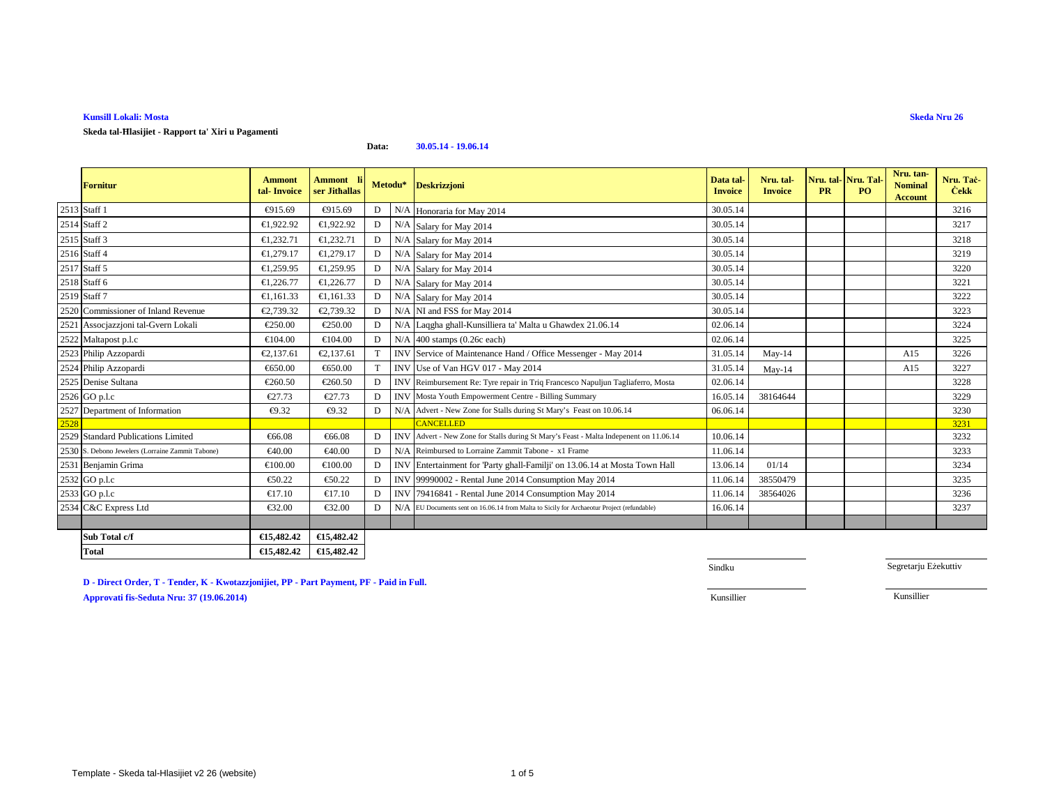## **Kunsill Lokali: Mosta**

**Skeda tal-Ħlasijiet - Rapport ta' Xiri u Pagamenti**

**Data:30.05.14 - 19.06.14**

|              | <b>Fornitur</b>                                  | <b>Ammont</b><br>tal-Invoice | <b>Ammont</b><br>ser Jithallas |   | Metodu* | <b>Deskrizzjoni</b>                                                                        | Data tal-<br><b>Invoice</b> | Nru. tal-<br><b>Invoice</b> | Nru. tal-<br><b>PR</b> | Nru. Tal-<br><b>PO</b> | Nru. tan-<br><b>Nominal</b><br><b>Account</b> | Nru. Tač-<br><b>Cekk</b> |
|--------------|--------------------------------------------------|------------------------------|--------------------------------|---|---------|--------------------------------------------------------------------------------------------|-----------------------------|-----------------------------|------------------------|------------------------|-----------------------------------------------|--------------------------|
| 2513 Staff 1 |                                                  | €915.69                      | €915.69                        | D |         | N/A Honoraria for May 2014                                                                 | 30.05.14                    |                             |                        |                        |                                               | 3216                     |
|              | 2514 Staff 2                                     | €1,922.92                    | €1,922.92                      | D |         | N/A Salary for May 2014                                                                    | 30.05.14                    |                             |                        |                        |                                               | 3217                     |
|              | 2515 Staff 3                                     | €1,232.71                    | €1,232.71                      | D |         | N/A Salary for May 2014                                                                    | 30.05.14                    |                             |                        |                        |                                               | 3218                     |
|              | 2516 Staff 4                                     | €1.279.17                    | €1,279.17                      | D |         | N/A Salary for May 2014                                                                    | 30.05.14                    |                             |                        |                        |                                               | 3219                     |
|              | 2517 Staff 5                                     | €1,259.95                    | €1,259.95                      | D |         | N/A Salary for May 2014                                                                    | 30.05.14                    |                             |                        |                        |                                               | 3220                     |
|              | 2518 Staff 6                                     | €1,226.77                    | €1,226.77                      | D |         | N/A Salary for May 2014                                                                    | 30.05.14                    |                             |                        |                        |                                               | 3221                     |
|              | 2519 Staff 7                                     | €1,161.33                    | €1,161.33                      | D |         | N/A Salary for May 2014                                                                    | 30.05.14                    |                             |                        |                        |                                               | 3222                     |
|              | 2520 Commissioner of Inland Revenue              | €2,739.32                    | €2,739.32                      | D |         | N/A NI and FSS for My 2014                                                                 | 30.05.14                    |                             |                        |                        |                                               | 3223                     |
|              | 2521 Assocjazzjoni tal-Gvern Lokali              | €250.00                      | €250.00                        | D |         | N/A Laggha ghall-Kunilliera ta' Malta u Ghawdex 21.06.14                                   | 02.06.14                    |                             |                        |                        |                                               | 3224                     |
|              | 2522 Maltapost p.l.c                             | €104.00                      | €104.00                        | D |         | $N/A$ 400 stamps (0.26c each)                                                              | 02.06.14                    |                             |                        |                        |                                               | 3225                     |
|              | 2523 Philip Azzopardi                            | €2,137.61                    | €2,137.61                      |   |         | INV Service of Maintenance Hand Office Messenger - May 2014                                | 31.05.14                    | $May-14$                    |                        |                        | A15                                           | 3226                     |
|              | 2524 Philip Azzopardi                            | €650.00                      | €650.00                        |   |         | INV Use of Van HGV 017 - May 2014                                                          | 31.05.14                    | $May-14$                    |                        |                        | A15                                           | 3227                     |
|              | 2525 Denise Sultana                              | €260.50                      | €260.50                        | D |         | INV Reimbursement Re: Tyre repair in Triq Francesco Napuljun Tagliaferro, Mosta            | 02.06.14                    |                             |                        |                        |                                               | 3228                     |
|              | 2526 GO p.l.c                                    | €27.73                       | €27.73                         | D |         | <b>INV</b> Mosta Youth Empowerment Centre - Billing Summary                                | 16.05.14                    | 38164644                    |                        |                        |                                               | 3229                     |
|              | 2527 Department of Information                   | €9.32                        | €9.32                          | D |         | N/A Advert - New Zone for Stalls during St Mary's Feast on 10.06.14                        | 06.06.14                    |                             |                        |                        |                                               | 3230                     |
| 2528         |                                                  |                              |                                |   |         | <b>CANCELLED</b>                                                                           |                             |                             |                        |                        |                                               | 3231                     |
|              | 2529 Standard Publications Limited               | €66.08                       | €66.08                         | D |         | INV Advert - New Zone for Stalls during St Mary's Feast - Malta Indepenent on 11.06.14     | 10.06.14                    |                             |                        |                        |                                               | 3232                     |
|              | 2530 S. Debono Jewelers (Lorraine Zammit Tabone) | €40.00                       | €40.00                         | D |         | N/AReimbursed to Lorraine Zammit Tabone - x1 Frame                                         | 11.06.14                    |                             |                        |                        |                                               | 3233                     |
|              | 2531 Benjamin Grima                              | €100.00                      | €100.00                        | D |         | INV Entertainment for 'Party ghall-Familji' on 13.06.14 at Mosta Town Hall                 | 13.06.14                    | 01/14                       |                        |                        |                                               | 3234                     |
|              | 2532 GO p.l.c                                    | €50.22                       | €50.22                         | D |         | INV 99990002 - Rental June 2014 Consumption May 2014                                       | 11.06.1                     | 38550479                    |                        |                        |                                               | 3235                     |
|              | 2533 GO p.l.c                                    | €17.10                       | €17.10                         | D |         | INV 79416841 - Rental June 2014 Consumption May 2014                                       | 11.06.1                     | 38564026                    |                        |                        |                                               | 3236                     |
|              | 2534 C&C Express Ltd                             | €32.00                       | €32.00                         | D |         | N/A EU Documents sent on 16.06.14 from Malta to Sicily for Archaeotur Project (refundable) | 16.06.14                    |                             |                        |                        |                                               | 3237                     |
|              |                                                  |                              |                                |   |         |                                                                                            |                             |                             |                        |                        |                                               |                          |
|              | Sub Total c/f                                    | €15,482.42                   | €15,482.42                     |   |         |                                                                                            |                             |                             |                        |                        |                                               |                          |
|              | <b>Total</b>                                     | €15,482,42                   | €15,482.42                     |   |         |                                                                                            |                             |                             |                        |                        |                                               |                          |

**D - Direct Order, T - Tender, K - Kwotazzjonijiet, PP - Part Payment, PF - Paid in Full.**

**Approvati fis-Seduta Nru: 37 (19.06.2014)**

Sindku

Segretarju Eżekuttiv

Kunsillier Kunsillier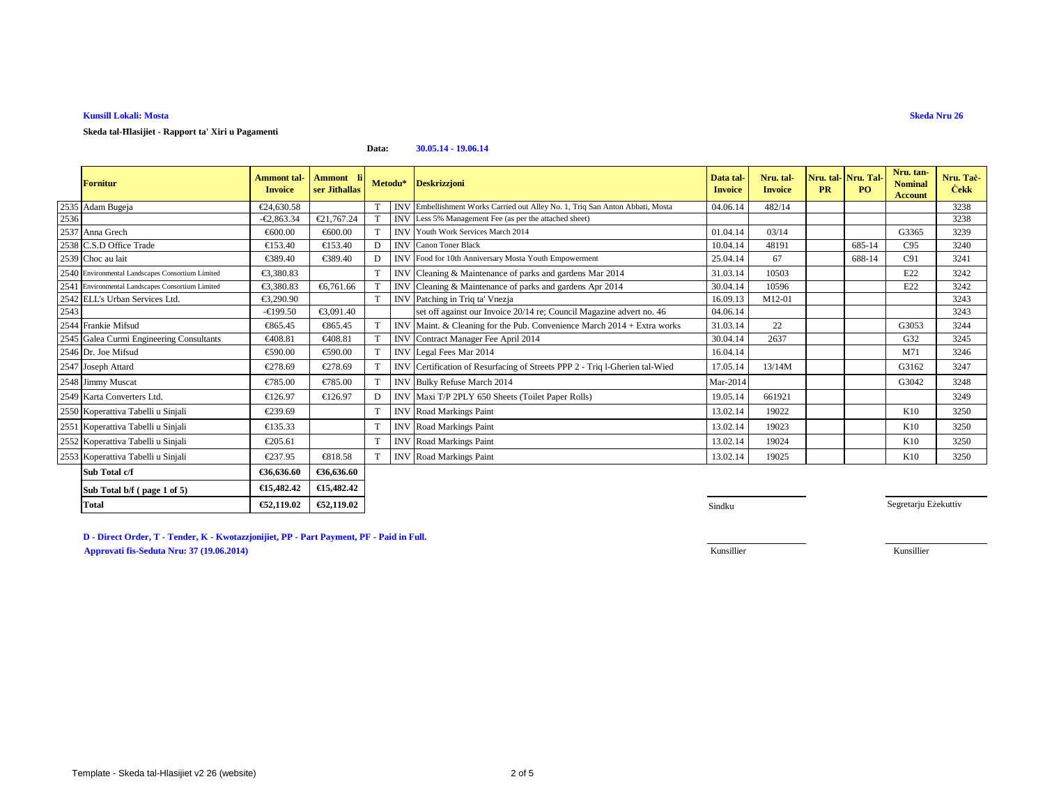# **Kunsill Lokali: Mosta**

**Skeda tal-Ħlasijiet - Rapport ta' Xiri u Pagamenti**

### **Data:30.05.14 - 19.06.14**

|      | <b>Fornitur</b>                                  | <b>Ammont</b> tal-<br><b>Invoice</b> | Ammont li <br>ser Jithallas |   | Metodu*    | <b>Deskrizzjoni</b>                                                           | Data tal<br><b>Invoice</b> | Nru. tal-<br><b>Invoice</b> | Nru. tal-Nru. Tal-<br><b>PR</b> | PQ     | Nru. tan-<br><b>Nominal</b><br><b>Account</b> | Nru. Tač-<br><b>Cekk</b> |
|------|--------------------------------------------------|--------------------------------------|-----------------------------|---|------------|-------------------------------------------------------------------------------|----------------------------|-----------------------------|---------------------------------|--------|-----------------------------------------------|--------------------------|
|      | 2535 Adam Bugeja                                 | €24,630.58                           |                             |   |            | INV Embellishment Works Carried out Alley No. 1, Triq San Anton Abbati, Mosta | 04.06.14                   | 482/14                      |                                 |        |                                               | 3238                     |
| 2536 |                                                  | $-€2,863.34$                         | €21,767.24                  |   |            | INV Less 5% Management Fee (as per the attached sheet)                        |                            |                             |                                 |        |                                               | 3238                     |
|      | 2537 Anna Grech                                  | €600.00                              | €600.00                     |   |            | <b>INV</b> Youth Work Services March 2014                                     | 01.04.14                   | 03/14                       |                                 |        | G3365                                         | 3239                     |
|      | 2538 C.S.D Office Trade                          | €153.40                              | €153.40                     | D |            | <b>INV</b> Canon Toner Black                                                  | 10.04.14                   | 48191                       |                                 | 685-14 | C95                                           | 3240                     |
|      | 2539 Choc au lait                                | €389.40                              | €389.40                     |   |            | INV Food for 10th Anniversary Mosta Youth Empowerment                         | 25.04.14                   | 67                          |                                 | 688-14 | C91                                           | 3241                     |
|      | 2540 Environmental Landscapes Consortium Limited | €3,380.83                            |                             |   |            | INV Cleaning & Maintenance of parks and gardens Mar 2014                      | 31.03.14                   | 10503                       |                                 |        | E22                                           | 3242                     |
|      | 2541 Environmental Landscapes Consortium Limited | €3,380.83                            | €6,761.66                   |   |            | INV Cleaning & Maintenance of parks and gardens Apr 2014                      | 30.04.14                   | 10596                       |                                 |        | E22                                           | 3242                     |
|      | 2542 ELL's Urban Services Ltd.                   | €3.290.90                            |                             |   |            | INV Patching in Triq ta'Vnezja                                                | 16.09.13                   | M12-01                      |                                 |        |                                               | 3243                     |
| 2543 |                                                  | $-€199.50$                           | €3,091.40                   |   |            | set off against our Invoice 20/14 re; Council Magazin advert no. 46           | 04.06.14                   |                             |                                 |        |                                               | 3243                     |
|      | 2544 Frankie Mifsud                              | €865.45                              | €865.45                     |   |            | INV Maint. & Cleaning for the PubConvenience March 2014 + Extra works         | 31.03.14                   | 22                          |                                 |        | G3053                                         | 3244                     |
|      | 2545 Galea Curmi Engineering Consultants         | €408.81                              | €408.81                     |   | <b>INV</b> | Contract Manager Fee April 2014                                               | 30.04.14                   | 2637                        |                                 |        | G32                                           | 3245                     |
|      | 2546 Dr. Joe Mifsud                              | €590.00                              | €590.00                     |   |            | INV Legal Fees Mar 2014                                                       | 16.04.14                   |                             |                                 |        | M71                                           | 3246                     |
|      | 2547 Joseph Attard                               | €278.69                              | €278.69                     |   |            | INV Certification of Resurfacing of Steets PPP 2 - Triq 1-Gherien tal-Wied    | 17.05.14                   | 13/14M                      |                                 |        | G3162                                         | 3247                     |
|      | 2548 Jimmy Muscat                                | €785.00                              | €785.00                     |   |            | INV Bulky Refuse March 2014                                                   | Mar-2014                   |                             |                                 |        | G3042                                         | 3248                     |
|      | 2549 Karta Converters Ltd.                       | €126.97                              | €126.97                     | D |            | INV Maxi T/P 2PLY 650 Sheets (Tilet Paper Rolls)                              | 19.05.14                   | 661921                      |                                 |        |                                               | 3249                     |
|      | 2550 Koperattiva Tabelli u Sinjali               | €239.69                              |                             |   |            | <b>INV</b> Road Markings Paint                                                | 13.02.14                   | 19022                       |                                 |        | K10                                           | 3250                     |
|      | 2551 Koperattiva Tabelli u Sinjali               | €135.33                              |                             |   |            | <b>INV</b> Road Markings Paint                                                | 13.02.14                   | 19023                       |                                 |        | K10                                           | 3250                     |
|      | 2552 Koperattiva Tabelli u Sinjali               | €205.61                              |                             |   |            | <b>INV</b> Road Markings Paint                                                | 13.02.14                   | 19024                       |                                 |        | K10                                           | 3250                     |
|      | 2553 Koperattiva Tabelli u Sinjali               | €237.95                              | €818.58                     |   |            | <b>INV</b> Road Markings Paint                                                | 13.02.14                   | 19025                       |                                 |        | K10                                           | 3250                     |
|      | Sub Total c/f                                    | €36,636.60                           | €36,636.60                  |   |            |                                                                               |                            |                             |                                 |        |                                               |                          |

| Sub Total b/f (page 1 of 5) | €15,482,42 | $\epsilon$ 15.482.42 |
|-----------------------------|------------|----------------------|
| Total                       | €52,119.02 | €52.119.02           |
|                             |            |                      |

Segretarju Eżekuttiv

**D - Direct Order, T - Tender, K - Kwotazzjonijiet, PP - Part Payment, PF - Paid in Full. Approvati fis-Seduta Nru: 37 (19.06.2014)**Kunsillier

Kunsillier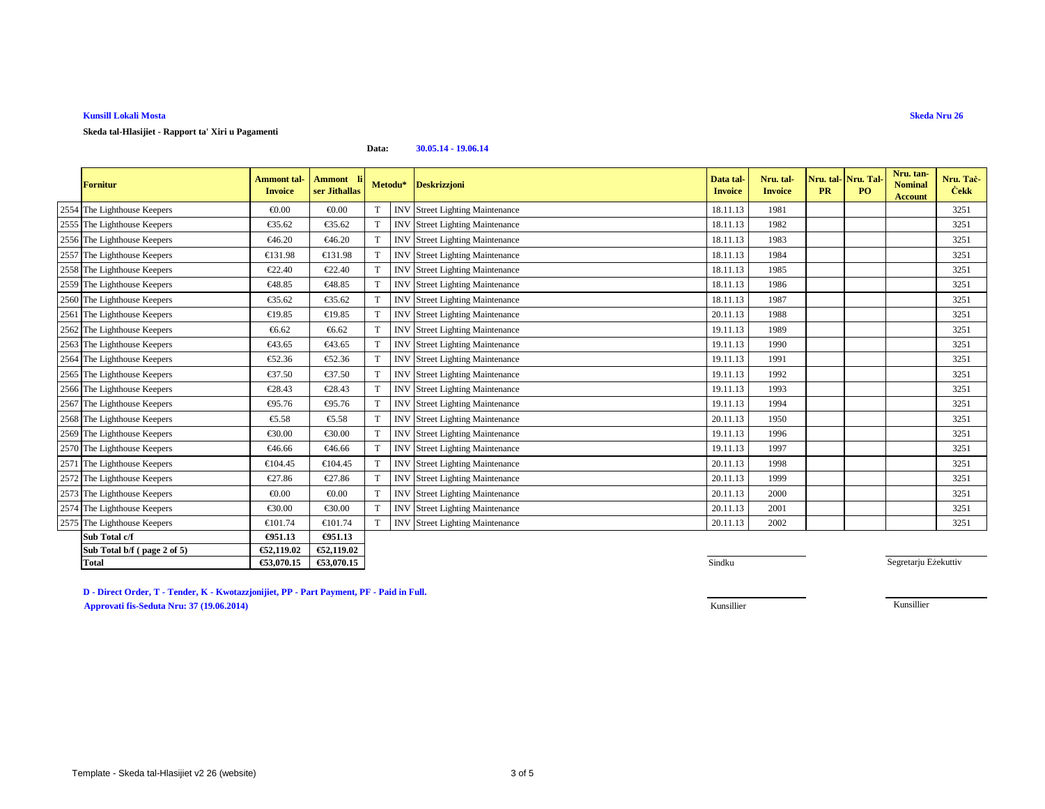# **Kunsill Lokali Mosta**

**Skeda tal-Hlasijiet - Rapport ta' Xiri u Pagamenti**

### **Data:30.05.14 - 19.06.14**

| <b>Fornitur</b>             | <b>Ammont</b> tal-<br><b>Invoice</b> | Ammont li<br>ser Jithallas |             | Metodu*    | <b>Deskrizzjoni</b>               | Data tal<br><b>Invoice</b> | Nru. tal-<br><b>Invoice</b> | <b>PR</b> | Nru. tal- Nru. Tal<br>PO <sub>1</sub> | Nru. tan-<br><b>Nominal</b><br>Account | Nru. Tac-<br><b>Cekk</b> |
|-----------------------------|--------------------------------------|----------------------------|-------------|------------|-----------------------------------|----------------------------|-----------------------------|-----------|---------------------------------------|----------------------------------------|--------------------------|
| 2554 The Lighthouse Keepers | € $0.00$                             | € $0.00$                   | T           | <b>INV</b> | <b>Street Lighting Mainteance</b> | 18.11.13                   | 1981                        |           |                                       |                                        | 3251                     |
| 2555 The Lighthouse Keepers | €35.62                               | €35.62                     |             | <b>INV</b> | <b>Street Lighting Mainteance</b> | 18.11.13                   | 1982                        |           |                                       |                                        | 3251                     |
| 2556 The Lighthouse Keepers | €46.20                               | €46.20                     | T           | <b>INV</b> | <b>Street Lighting Mainteance</b> | 18.11.13                   | 1983                        |           |                                       |                                        | 3251                     |
| 2557 The Lighthouse Keepers | €131.98                              | €131.98                    | $\mathbf T$ | <b>INV</b> | <b>Street Lighting Mainteance</b> | 18.11.13                   | 1984                        |           |                                       |                                        | 3251                     |
| 2558 The Lighthouse Keepers | €22.40                               | €22.40                     | T           | <b>INV</b> | <b>Street Lighting Mainteance</b> | 18.11.13                   | 1985                        |           |                                       |                                        | 3251                     |
| 2559 The Lighthouse Keepers | €48.85                               | €48.85                     | T           | <b>INV</b> | <b>Street Lighting Mainteance</b> | 18.11.13                   | 1986                        |           |                                       |                                        | 3251                     |
| 2560 The Lighthouse Keepers | €35.62                               | €35.62                     | $\mathbf T$ | <b>IN</b>  | <b>Street Lighting Mainteance</b> | 18.11.13                   | 1987                        |           |                                       |                                        | 3251                     |
| 2561 The Lighthouse Keepers | €19.85                               | €19.85                     | $\mathbf T$ | <b>INV</b> | <b>Street Lighting Mainteance</b> | 20.11.13                   | 1988                        |           |                                       |                                        | 3251                     |
| 2562 The Lighthouse Keepers | €6.62                                | €6.62                      | T           | <b>INV</b> | <b>Street Lighting Mainteance</b> | 19.11.13                   | 1989                        |           |                                       |                                        | 3251                     |
| 2563 The Lighthouse Keepers | €43.65                               | €43.65                     |             | <b>INV</b> | <b>Street Lighting Mainteance</b> | 19.11.13                   | 1990                        |           |                                       |                                        | 3251                     |
| 2564 The Lighthouse Keepers | €52.36                               | €52.36                     | $\mathbf T$ | <b>INV</b> | <b>Street Lighting Mainteance</b> | 19.11.13                   | 1991                        |           |                                       |                                        | 3251                     |
| 2565 The Lighthouse Keepers | €37.50                               | €37.50                     |             | <b>INV</b> | <b>Street Lighting Mainteance</b> | 19.11.13                   | 1992                        |           |                                       |                                        | 3251                     |
| 2566 The Lighthouse Keepers | €28.43                               | €28.43                     | T           | <b>INV</b> | <b>Street Lighting Mainteance</b> | 19.11.13                   | 1993                        |           |                                       |                                        | 3251                     |
| 2567 The Lighthouse Keepers | €95.76                               | €95.76                     |             | <b>INV</b> | <b>Street Lighting Mainteance</b> | 19.11.13                   | 1994                        |           |                                       |                                        | 3251                     |
| 2568 The Lighthouse Keepers | €5.58                                | €5.58                      | $\mathbf T$ | <b>INV</b> | <b>Street Lighting Mainteance</b> | 20.11.13                   | 1950                        |           |                                       |                                        | 3251                     |
| 2569 The Lighthouse Keepers | €30.00                               | €30.00                     | $\mathbf T$ | <b>INV</b> | <b>Street Lighting Mainteance</b> | 19.11.13                   | 1996                        |           |                                       |                                        | 3251                     |
| 2570 The Lighthouse Keepers | €46.66                               | €46.66                     | $\mathbf T$ | <b>INV</b> | <b>Street Lighting Mainteance</b> | 19.11.13                   | 1997                        |           |                                       |                                        | 3251                     |
| 2571 The Lighthouse Keepers | €104.45                              | €104.45                    |             | <b>INV</b> | <b>Street Lighting Mainteance</b> | 20.11.13                   | 1998                        |           |                                       |                                        | 3251                     |
| 2572 The Lighthouse Keepers | €27.86                               | €27.86                     | $\mathbf T$ | <b>INV</b> | <b>Street Lighting Mainteance</b> | 20.11.13                   | 1999                        |           |                                       |                                        | 3251                     |
| 2573 The Lighthouse Keepers | € $0.00$                             | € $0.00$                   | T           | <b>INV</b> | <b>Street Lighting Mainteance</b> | 20.11.13                   | 2000                        |           |                                       |                                        | 3251                     |
| 2574 The Lighthouse Keepers | €30.00                               | €30.00                     |             | <b>INV</b> | <b>Street Lighting Mainteance</b> | 20.11.13                   | 2001                        |           |                                       |                                        | 3251                     |
| 2575 The Lighthouse Keepers | €101.74                              | €101.74                    | T           | <b>INV</b> | <b>Street Lighting Mainteance</b> | 20.11.13                   | 2002                        |           |                                       |                                        | 3251                     |
| Sub Total c/f               | €951.13                              | €951.13                    |             |            |                                   |                            |                             |           |                                       |                                        |                          |
| Sub Total b/f (page 2 of 5) | €52,119.02                           | €52,119.02                 |             |            |                                   |                            |                             |           |                                       |                                        |                          |
| <b>Total</b>                | €53,070.15                           | €53,070.15                 |             |            |                                   | Sindku                     |                             |           |                                       | Segretarju Eżekuttiv                   |                          |

**D - Direct Order, T - Tender, K - Kwotazzjonijiet, PP - Part Payment, PF - Paid in Full.Approvati fis-Seduta Nru: 37 (19.06.2014)**Kunsillier

Kunsillier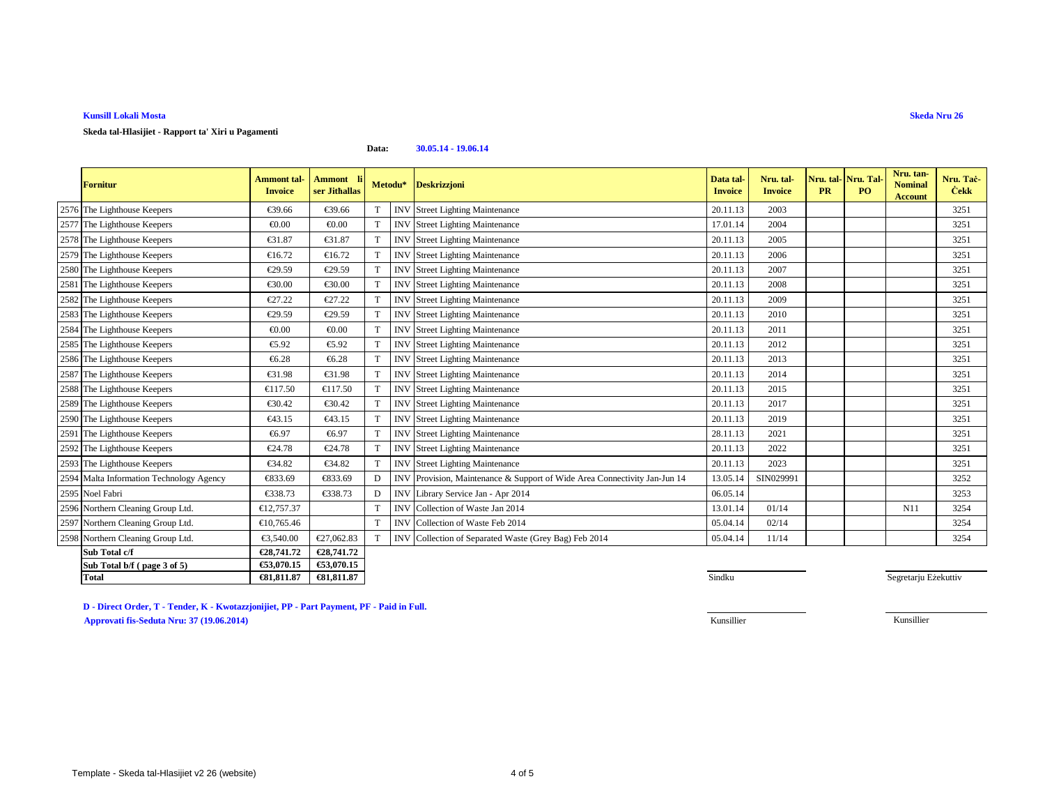# **Kunsill Lokali Mosta**

**Skeda tal-Hlasijiet - Rapport ta' Xiri u Pagamenti**

#### **Data:30.05.14 - 19.06.14**

| <b>Fornitur</b>                          | <b>Ammont</b> tal-<br><b>Invoice</b> | <b>Ammont</b><br>ser Jithallas |             | Metodu*    | <b>Deskrizzjoni</b>                                                  | Data tal-<br><b>Invoice</b> | Nru. tal-<br><b>Invoice</b> | Nru. tal-<br><b>PR</b> | Nru. Tal-<br>P <sub>O</sub> | Nru. tan-<br><b>Nominal</b><br><b>Account</b> | Nru. Tac-<br><b>Cekk</b> |
|------------------------------------------|--------------------------------------|--------------------------------|-------------|------------|----------------------------------------------------------------------|-----------------------------|-----------------------------|------------------------|-----------------------------|-----------------------------------------------|--------------------------|
| 2576 The Lighthouse Keepers              | €39.66                               | €39.66                         |             |            | <b>INV</b> Street Lighting Mainteance                                | 20.11.13                    | 2003                        |                        |                             |                                               | 3251                     |
| 2577 The Lighthouse Keepers              | € $0.00$                             | € $0.00$                       | $\mathbf T$ | <b>INV</b> | <b>Street Lighting Mainteance</b>                                    | 17.01.14                    | 2004                        |                        |                             |                                               | 3251                     |
| 2578 The Lighthouse Keepers              | €31.87                               | €31.87                         | T           | <b>INV</b> | <b>Street Lighting Mainteance</b>                                    | 20.11.13                    | 2005                        |                        |                             |                                               | 3251                     |
| 2579 The Lighthouse Keepers              | €16.72                               | €16.72                         | $\mathbf T$ | <b>INV</b> | <b>Street Lighting Mainteance</b>                                    | 20.11.13                    | 2006                        |                        |                             |                                               | 3251                     |
| 2580 The Lighthouse Keepers              | €29.59                               | €29.59                         | $\mathbf T$ | <b>INV</b> | <b>Street Lighting Mainteance</b>                                    | 20.11.13                    | 2007                        |                        |                             |                                               | 3251                     |
| 2581 The Lighthouse Keepers              | €30.00                               | €30.00                         | $\mathbf T$ | <b>INV</b> | <b>Street Lighting Mainteance</b>                                    | 20.11.13                    | 2008                        |                        |                             |                                               | 3251                     |
| 2582 The Lighthouse Keepers              | €27.22                               | €27.22                         |             | <b>INV</b> | <b>Street Lighting Mainteance</b>                                    | 20.11.13                    | 2009                        |                        |                             |                                               | 3251                     |
| 2583 The Lighthouse Keepers              | €29.59                               | €29.59                         |             | <b>INV</b> | Street Lighting Mainteance                                           | 20.11.13                    | 2010                        |                        |                             |                                               | 3251                     |
| 2584 The Lighthouse Keepers              | € $0.00$                             | € $0.00$                       | $\mathbf T$ | <b>INV</b> | <b>Street Lighting Mainteance</b>                                    | 20.11.13                    | 2011                        |                        |                             |                                               | 3251                     |
| 2585 The Lighthouse Keepers              | €5.92                                | €5.92                          |             | <b>INV</b> | <b>Street Lighting Mainteance</b>                                    | 20.11.13                    | 2012                        |                        |                             |                                               | 3251                     |
| 2586 The Lighthouse Keepers              | €6.28                                | €6.28                          |             | <b>INV</b> | <b>Street Lighting Mainteance</b>                                    | 20.11.13                    | 2013                        |                        |                             |                                               | 3251                     |
| 2587 The Lighthouse Keepers              | €31.98                               | €31.98                         |             | <b>INV</b> | Street Lighting Mainteance                                           | 20.11.13                    | 2014                        |                        |                             |                                               | 3251                     |
| 2588 The Lighthouse Keepers              | €117.50                              | €117.50                        | $\mathbf T$ | <b>INV</b> | <b>Street Lighting Mainteance</b>                                    | 20.11.13                    | 2015                        |                        |                             |                                               | 3251                     |
| 2589 The Lighthouse Keepers              | €30.42                               | €30.42                         | $\mathbf T$ | <b>INV</b> | <b>Street Lighting Mainteance</b>                                    | 20.11.13                    | 2017                        |                        |                             |                                               | 3251                     |
| 2590 The Lighthouse Keepers              | €43.15                               | €43.15                         |             | <b>INV</b> | <b>Street Lighting Mainteance</b>                                    | 20.11.13                    | 2019                        |                        |                             |                                               | 3251                     |
| 2591 The Lighthouse Keepers              | €6.97                                | €6.97                          | T           | <b>INV</b> | <b>Street Lighting Mainteance</b>                                    | 28.11.13                    | 2021                        |                        |                             |                                               | 3251                     |
| 2592 The Lighthouse Keepers              | €24.78                               | €24.78                         | T           | <b>INV</b> | <b>Street Lighting Mainteance</b>                                    | 20.11.13                    | 2022                        |                        |                             |                                               | 3251                     |
| 2593 The Lighthouse Keepers              | €34.82                               | €34.82                         | $\mathbf T$ | <b>INV</b> | <b>Street Lighting Mainteance</b>                                    | 20.11.13                    | 2023                        |                        |                             |                                               | 3251                     |
| 2594 Malta Information Technology Agency | €833.69                              | €833.69                        | Ð           | <b>INV</b> | Provision, Mintenance & Support of Wide Area Connectivity Jan-Jun 14 | 13.05.14                    | SIN029991                   |                        |                             |                                               | 3252                     |
| 2595 Noel Fabri                          | €338.73                              | €338.73                        | Е           | <b>INV</b> | Library Service Jan - Apr 2014                                       | 06.05.14                    |                             |                        |                             |                                               | 3253                     |
| 2596 Northern Cleaning Group Ltd.        | €12,757.37                           |                                | T           | <b>INV</b> | Collection of Waste Jan 2014                                         | 13.01.14                    | 01/14                       |                        |                             | N11                                           | 3254                     |
| 2597 Northern Cleaning Group Ltd.        | €10,765.46                           |                                | T           |            | INV Collection of Waste Feb 2014                                     | 05.04.14                    | 02/14                       |                        |                             |                                               | 3254                     |
| 2598 Northern Cleaning Group Ltd.        | €3,540.00                            | €27,062.83                     | $\mathbf T$ |            | INV Collection of Separted Waste (Grey Bag) Feb 2014                 | 05.04.14                    | 11/14                       |                        |                             |                                               | 3254                     |
| Sub Total c/f                            | €28,741.72                           | €28,741.72                     |             |            |                                                                      |                             |                             |                        |                             |                                               |                          |
| Sub Total b/f (page 3 of 5)              | €53,070.15                           | €53,070.15                     |             |            |                                                                      |                             |                             |                        |                             |                                               |                          |
| Total                                    | €81,811.87                           | €81,811.87                     |             |            |                                                                      | Sindku                      |                             |                        |                             | Segretarju Eżekuttiv                          |                          |

**D - Direct Order, T - Tender, K - Kwotazzjonijiet, PP - Part Payment, PF - Paid in Full.Approvati fis-Seduta Nru: 37 (19.06.2014)**Kunsillier Kunsillier

**Skeda Nru 26**